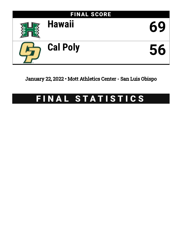

January 22, 2022 • Mott Athletics Center - San Luis Obispo

# FINAL STATISTICS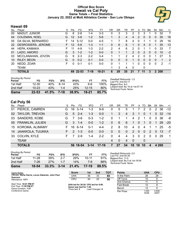### **Official Box Score Hawaii vs Cal Poly Game Totals -- Final Statistics January 22, 2022 at Mott Athletics Center - San Luis Obispo**



## **Hawaii 69**

| No. | Plaver               | S  | Pts               | FG.      | 3FG     | FT.       | ΟR | DR | TR | PF             | A            | TO | <b>B</b> lk  | Stl           | Min        | $+/-$ |
|-----|----------------------|----|-------------------|----------|---------|-----------|----|----|----|----------------|--------------|----|--------------|---------------|------------|-------|
| 00  | <b>MADUT, JUNIOR</b> | G  | 8                 | $2 - 8$  | $1 - 4$ | $3 - 3$   | 0  | 3  | 3  | 2              | 3            | 3  |              | 0             | 32         | 7     |
| 04  | <b>COLEMAN, NOEL</b> | G  | 12                | $3 - 8$  | $1 - 2$ | $5-6$     |    | 3  | 4  | 4              | 2            | 0  | $\mathbf{0}$ | $\mathbf{0}$  | 30         | 18    |
| 05  | DA SILVA, BERNARDO   | F. | 14                | $5 - 12$ | 0-0     | $4 - 5$   |    |    | 8  | 4              | 0            |    |              | 0             | 29         | 16    |
| 22  | DESROSIERS, JEROME   | F. | $12 \overline{ }$ | $5-8$    | $1 - 3$ | $1 - 1$   | 0  | 6  | 6  | 1              | 0            | 4  | $\Omega$     |               | 35         | 13    |
| 44  | HEPA, KAMAKA         | F. |                   | $4-9$    | $1 - 3$ | $2 - 2$   | 2  | 4  | 6  | 2              | 0            |    |              | 0             | 33         | 7     |
| 01  | LADO, AMORO          | G  | 3                 | $1 - 2$  | $1 - 2$ | $0 - 0$   | 0  |    |    | $\overline{2}$ | $\mathbf{0}$ | 2  | $\Omega$     | 0             | 10         | $-2$  |
| 03  | MCCLANAHAN, JOVON    | G  | 9                 | $2 - 3$  | $2 - 2$ | $3 - 4$   |    |    | 2  | 4              | 2            | 0  |              |               | 27         | 5     |
| 10  | <b>RILEY, BEON</b>   | G  | 0                 | $0 - 2$  | 0-1     | $0 - 0$   | 0  | 0  | 0  |                | 0            | 0  | $\Omega$     | $\Omega$      | 1          | 2     |
| 20  | NEDD, ZOAR           | F. | $\Omega$          | $0 - 1$  | 0-1     | $0-0$     | 0  |    |    | 1              | 0            | 0  | $\Omega$     | $\Omega$      | 2          | -1    |
|     | TEAM                 |    |                   |          |         |           |    | 3  | 4  | 0              |              | 0  |              |               |            |       |
|     | <b>TOTALS</b>        |    | 69                | 22-53    | 7-18    | $18 - 21$ | 6  | 29 | 35 | 21             |              | 11 |              | $\mathcal{P}$ | <b>200</b> |       |

| Game                                | 22-53     | 41.5% | 7-18 | 38.9% | 18-21     | 85.7% |
|-------------------------------------|-----------|-------|------|-------|-----------|-------|
| 2nd Half                            | $10 - 23$ | 43%   | 1-4  | 25%   | $12 - 15$ | 80%   |
| 1st Half                            | $12 - 30$ | 40%   | հ-14 | 43%   | հ-հ       | 100%  |
| <b>Shooting By Period</b><br>Period | FG        | FG%   | 3FG  | 3FG%  | FТ        | FT%   |

*Deadball Rebounds:* 1,0 *Last FG:* 2nd-02:17 *Biggest Run:* 9-0 *Largest lead:* By 16 at 1st-07:19 *Technical Fouls:* None.

# **Cal Poly 56**

| No. | Player              | S. | Pts           | FG.      | 3FG      | FТ      | OR             | DR       | TR                     | PF             |                | A TO           | <b>Blk</b>   | Stl      | Min   | $+/-$          |
|-----|---------------------|----|---------------|----------|----------|---------|----------------|----------|------------------------|----------------|----------------|----------------|--------------|----------|-------|----------------|
| 01  | PIERCE, CAMREN      | G. | 16            | $3 - 14$ | $1 - 3$  | $9-9$   | 0              | 5        | 5                      | 1              |                | 2              | $\mathbf{0}$ | 2        | 36    | $-12$          |
|     | 02 TAYLOR, TREVON   | G  | 5             | $2 - 4$  | $1 - 3$  | $0 - 0$ | 1              | 3        | $\left 4\right\rangle$ | 3              | $\overline{1}$ | 0              | 1            | $\Omega$ | -32   | $-14$          |
|     | 03 SANDERS, KOBE    | G  | 7             | $3-6$    | $0 - 3$  | $1 - 2$ | $\mathbf 0$    | 1        | 1.                     | $\overline{4}$ | 2              | 1              | $\mathbf{0}$ | $\Omega$ | 36    | -8             |
|     | 05 FRANKLIN, JULIEN | G. | 3             | $1 - 4$  | $0 - 0$  | $1 - 2$ | $\mathbf{0}$   | 6        | 6                      | $\mathbf 1$    | $\Omega$       | $\overline{1}$ | $\Omega$     |          | 1 28  | $-20$          |
|     | 15 KOROMA, ALIMAMY  | F. | 16            | 6-14     | $0 - 1$  | $4 - 4$ | $\overline{2}$ | 8        | 10                     | $\overline{4}$ | $\mathbf{0}$   | $\overline{4}$ |              |          | 25    | -5             |
|     | 14 JAAKKOLA, TUUKKA | F. | $\mathcal{P}$ | $1 - 3$  | $0 - 0$  | $0 - 0$ | $\Omega$       | $\Omega$ | $\Omega$               | 2              | $\Omega$       | $\Omega$       | 2            | $\Omega$ | -13   | $-7$           |
| 33  | COLVIN, KYLE        | F. |               | -2-9     | $1 - 4$  | $2 - 2$ | $\Omega$       | 4        | 4                      | 3              | $\Omega$       | $\mathcal{P}$  | $\Omega$     | $\Omega$ | -29   | $\overline{1}$ |
|     | <b>TEAM</b>         |    |               |          |          |         | 4              | $\Omega$ | 4                      | - 0            |                | 0              |              |          |       |                |
|     | <b>TOTALS</b>       |    |               | 56 18-54 | $3 - 14$ | $17-19$ | $\overline{7}$ | 27       | 34                     | 18             | 10             | 10             | 4            |          | 4 200 |                |

| Game                                | $18 - 54$ | 33.3% | $3 - 14$ | 21.4%      | 17-19 | 89.5% |
|-------------------------------------|-----------|-------|----------|------------|-------|-------|
| 2nd Half                            | 7-26      | 27%   | $1 - 7$  | 14%        | 7-8   | 88%   |
| 1st Half                            | $11 - 28$ | 39%   | 2-7      | <b>29%</b> | 10-11 | 91%   |
| <b>Shooting By Period</b><br>Period | FG        | FG%   | 3FG      | 3FG%       | FТ    | FT%   |

*Deadball Rebounds:* 2,0 *Last FG:* 2nd-00:39 *Biggest Run:* 11-0 *Largest lead:* By 0 at 1st-18:04 *Technical Fouls:* None.

| Game Notes:                                        | <b>Score</b>                         | 1st | 2nd | TOT | <b>Points</b>     | Uł |
|----------------------------------------------------|--------------------------------------|-----|-----|-----|-------------------|----|
| Officials: Verne Harris, Levon Zakarian, John Paul | JHA                                  | 36  | 33  | 69  | In the Paint      |    |
| Guerrero<br>Attendance: 1371                       | CPU                                  | 34  | 22  | 56  | Off Turns         |    |
|                                                    |                                      |     |     |     | 2nd Chance        |    |
| Start Time: 10:01 PM ET<br>$End Timo: 44:50$ DM ET | UHA led for 38:20, CPU led for 0:00. | .   |     |     | <b>Fast Break</b> |    |

End Time: **11:59 PM ET** Game Duration: **1:57** Conference Game;

**UHA led for 38:20. CPU led for 0:00. Game was tied for 1:40.** Times tied: **2** Lead Changes: **0**

| Points       | <b>UHA</b>     | <b>CPU</b>     |
|--------------|----------------|----------------|
| In the Paint | 26             | 28             |
| Off Turns    | 10             | 6              |
| 2nd Chance   | 11             | 5              |
| Fast Break   | 12             | 8              |
| Bench        | 12             |                |
| Per Poss     | 1.045<br>30/66 | 0.836<br>26/67 |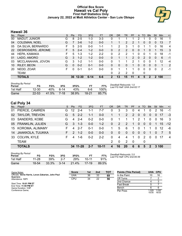#### **Official Box Score Hawaii vs Cal Poly First Half Statistics Only January 22, 2022 at Mott Athletics Center - San Luis Obispo**



# **Hawaii 36**

| No. | Plaver               | S  | <b>Pts</b> | <b>FG</b> | 3FG      | <b>FT</b> | <b>OR</b> | <b>DR</b> | TR             | PF             | A            | <b>TO</b> | <b>B</b> lk  | Stl           | Min | $+/-$          |
|-----|----------------------|----|------------|-----------|----------|-----------|-----------|-----------|----------------|----------------|--------------|-----------|--------------|---------------|-----|----------------|
| 00  | <b>MADUT, JUNIOR</b> | G  | 8          | $2 - 5$   | 1-3      | $3 - 3$   | 0         |           |                |                | 2            |           | 0            | 0             | 16  | 1              |
| 04  | <b>COLEMAN, NOEL</b> | G  |            | $3-6$     | $1 - 2$  | $0 - 0$   |           |           | 2              | 2              |              | 0         | $\mathbf{0}$ | $\Omega$      | 13  | $\overline{7}$ |
| 05  | DA SILVA, BERNARDO   | F. | 5          | $2 - 5$   | $0 - 0$  | $1 - 1$   |           | 2         | 3              | 1              | 0            |           |              | 0             | 16  | 4              |
| 22  | DESROSIERS, JEROME   | F. | 5.         | $2 - 4$   | $1 - 2$  | $0-0$     | 0         | 2         | $\overline{2}$ | 0              | 0            |           | 0            |               | 15  | 3              |
| 44  | HEPA, KAMAKA         | F. | 5          | 1-3       | $1 - 2$  | $2 - 2$   | 0         | 2         | $\overline{2}$ |                | 0            | 0         |              | 0             | 18  | -1             |
| 01  | LADO, AMORO          | G  | 3          | $1 - 2$   | $1 - 2$  | $0 - 0$   | 0         |           |                | $\overline{2}$ | $\mathbf{0}$ | 2         | $\Omega$     | 0             | 6   | -1             |
| 03  | MCCLANAHAN, JOVON    | G  | 3          | $1 - 2$   | $1 - 1$  | $0 - 0$   | 0         | 1         |                | 2              |              | 0         |              |               | 12  | $-4$           |
| 10  | RILEY, BEON          | G  | $\Omega$   | $0 - 2$   | $0 - 1$  | $0 - 0$   | 0         | $\Omega$  | 0              |                | 0            | $\Omega$  | $\Omega$     | $\Omega$      | 1   | 2              |
| 20  | NEDD, ZOAR           | F  | $\Omega$   | $0 - 1$   | $0 - 1$  | $0 - 0$   | 0         |           |                | 1              | 0            | $\Omega$  | $\Omega$     | $\Omega$      | 2   | -1             |
|     | TEAM                 |    |            |           |          |           | 0         | 2         | 2              | 0              |              | 0         |              |               |     |                |
|     | <b>TOTALS</b>        |    |            | 36 12-30  | $6 - 14$ | $6-6$     | 2         | 13        | 15             | 11             | 4            | 5         |              | $\mathcal{P}$ | 100 |                |

| <b>Shooting By Period</b><br>Period | FG        | FG%   | 3FG    | 3FG%  |       | FT%   | Deadball Rebounds: 1,0<br>Last FG Half: UHA 2nd-02:17 |
|-------------------------------------|-----------|-------|--------|-------|-------|-------|-------------------------------------------------------|
| 1st Half                            | $12 - 30$ | 40%   | $6-14$ | 43%   | հ-հ   | 100%  |                                                       |
| Game                                | $22 - 53$ | 41.5% | 7-18   | 38.9% | 18-21 | 85.7% |                                                       |

# **Cal Poly 34**

| No. | Player              | S. | <b>Pts</b>    | FG.      | 3FG     | <b>FT</b> | <b>OR</b>    | <b>DR</b>    | TR          | <b>PF</b>      |              | A TO           | <b>BIK</b>  | Stl            | Min   | $+/-$ |
|-----|---------------------|----|---------------|----------|---------|-----------|--------------|--------------|-------------|----------------|--------------|----------------|-------------|----------------|-------|-------|
| 01  | PIERCE, CAMREN      | G. | 12            | $2 - 4$  | 1-1     | 7-7       | 0            | 3            | 3           | 0              | 4            |                | 0           | 2              | 16    | -1    |
|     | 02 TAYLOR, TREVON   | G. | 5             | $2 - 2$  | $1 - 1$ | $0 - 0$   |              |              | $2^{\circ}$ | 2              | $\mathbf{0}$ | $\overline{0}$ | 0           | $\overline{0}$ | -17   | -3    |
|     | 03 SANDERS, KOBE    | G  | 4             | $2 - 4$  | $0 - 2$ | $0-0$     | $\Omega$     |              |             | 1              | 2            | 1              | $\Omega$    | $\Omega$       | 16    | - 3   |
|     | 05 FRANKLIN, JULIEN | G  | 3             | $1 - 3$  | $0 - 0$ | $1 - 2$   | $\Omega$     | 2            | 2           | $\mathbf 1$    | $\Omega$     | $\Omega$       | $\Omega$    | $\mathbf{1}$   | 15    | $-12$ |
|     | 15 KOROMA, ALIMAMY  | F. | 4             | $2 - 7$  | $0 - 1$ | $0-0$     | 1.           | 5            | 6           | 1.             | $\Omega$     | 1              |             | $\Omega$       | 12    | -6    |
| 14  | JAAKKOLA, TUUKKA    | F. | $\mathcal{P}$ | $1 - 2$  | $0 - 0$ | $0 - 0$   | $\mathbf{0}$ | $\mathbf{0}$ | $\Omega$    | $\overline{0}$ | $\Omega$     | $\Omega$       | $\mathbf 1$ | $\Omega$       |       | - 5   |
|     | 33 COLVIN, KYLE     | F. | 4             | 1-6      | $0 - 2$ | $2 - 2$   | 0            | 4            | 4           | 1              | $\Omega$     | $\mathcal{P}$  | $\Omega$    | $\Omega$       | -17   | -4    |
|     | <b>TEAM</b>         |    |               |          |         |           | 2            | $\Omega$     | 2           | - 0            |              | 0              |             |                |       |       |
|     | <b>TOTALS</b>       |    |               | 34 11-28 | 2-7     | $10 - 11$ | 4            | 16           | 20          | 6              | 6            | 5              | 2           |                | 3,100 |       |

| <b>Shooting By Period</b><br>Period | FG    | FG%   | 3FG      | 3FG%  | FT      | FT%   |
|-------------------------------------|-------|-------|----------|-------|---------|-------|
| 1st Half                            | 11-28 | 39%   | $2 - 7$  | 29%   | 10-11   | 91%   |
| Game                                | 18-54 | 33.3% | $3 - 14$ | 21.4% | $17-19$ | 89.5% |

*Deadball Rebounds:* 2,0 *Last FG Half:* CPU 2nd-00:39

| Game Notes:                                                    | <b>Score</b> | 1st | 2 <sub>nd</sub> | TOT | <b>Points (This Period)</b> | UHA CPU        |                |
|----------------------------------------------------------------|--------------|-----|-----------------|-----|-----------------------------|----------------|----------------|
| Officials: Verne Harris, Levon Zakarian, John Paul<br>Guerrero | UHA          | 36  | 33              | 69  | In the Paint                |                | 16             |
| Attendance: 1371                                               | <b>CPU</b>   | 34  | 22              | 56  | Off Turns                   |                |                |
|                                                                |              |     |                 |     | 2nd Chance                  |                |                |
| Start Time: 10:01 PM ET<br>End Time: 11:59 PM ET               |              |     |                 |     | <b>Fast Break</b>           |                |                |
| Game Duration: 1:57                                            |              |     |                 |     | Bench                       |                |                |
| Conference Game:                                               |              |     |                 |     | Per Poss                    | l.029<br>15/35 | 1.030<br>16/33 |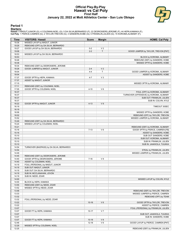#### **Official Play-By-Play Hawaii vs Cal Poly First Half January 22, 2022 at Mott Athletics Center - San Luis Obispo**



#### **Period 1**

<mark>Starters:</mark><br>Hawaii: 0 MADUT,JUNIOR (G); 4 COLEMAN,NOEL (G); 5 DA SILVA,BERNARDO (F); 22 DESROSIERS,JEROME (F); 44 HEPA,KAMAKA (F);<br>Cal Poly: 1 PIERCE,CAMREN (G); 2 TAYLOR,TREVON (G); 3 SANDERS,KOBE (G); 5 FRANKLIN,JULIEN

| Time  | <b>VISITORS: Hawaii</b>                  | <b>Score</b> | <b>Margin</b>  | <b>HOME: Cal Poly</b>                   |
|-------|------------------------------------------|--------------|----------------|-----------------------------------------|
| 19:36 | MISSED LAYUP by MADUT, JUNIOR            |              |                |                                         |
| 19:29 | REBOUND (OFF) by DA SILVA, BERNARDO      |              |                |                                         |
| 19:27 | GOOD! LAYUP by DA SILVA, BERNARDO        | $0 - 2$      | V <sub>2</sub> |                                         |
| 19:08 |                                          | $2 - 2$      | T              | GOOD! JUMPER by TAYLOR, TREVON [PNT]    |
| 18:53 | MISSED LAYUP by DA SILVA, BERNARDO       |              |                |                                         |
| 18:53 |                                          |              |                | BLOCK by KOROMA, ALIMAMY                |
| 18:48 |                                          |              |                | REBOUND (DEF) by SANDERS, KOBE          |
| 18:38 |                                          |              |                | MISSED 3PTR by SANDERS, KOBE            |
| 18:34 | REBOUND (DEF) by DESROSIERS, JEROME      |              |                |                                         |
| 18:28 | GOOD! JUMPER by MADUT, JUNIOR            | $2 - 4$      | V <sub>2</sub> |                                         |
| 18:04 |                                          | $4 - 4$      | $\mathsf T$    | GOOD! JUMPER by KOROMA, ALIMAMY         |
| 18:04 |                                          |              |                | ASSIST by SANDERS, KOBE                 |
| 17:37 | GOOD! 3PTR by HEPA, KAMAKA               | $4 - 7$      | $V_3$          |                                         |
| 17:37 | ASSIST by MADUT, JUNIOR                  |              |                |                                         |
| 17:15 |                                          |              |                | MISSED 3PTR by KOROMA, ALIMAMY          |
| 17:11 | REBOUND (DEF) by COLEMAN, NOEL           |              |                |                                         |
| 17:05 | GOOD! 3PTR by COLEMAN, NOEL              | $4 - 10$     | $V_6$          |                                         |
| 16:37 |                                          |              |                | FOUL (OFF) by KOROMA, ALIMAMY           |
| 16:37 |                                          |              |                | TURNOVER (OFFENSIVE) by KOROMA, ALIMAMY |
| 16:37 |                                          |              |                | SUB OUT: FRANKLIN, JULIEN               |
| 16:37 |                                          |              |                | SUB IN: COLVIN, KYLE                    |
| 16:22 | GOOD! 3PTR by MADUT, JUNIOR              | $4 - 13$     | V <sub>9</sub> |                                         |
| 16:19 |                                          |              |                | TIMEOUT 30SEC                           |
| 16:19 |                                          |              |                |                                         |
| 16:06 |                                          |              |                | MISSED 3PTR by SANDERS, KOBE            |
| 16:02 |                                          |              |                | REBOUND (OFF) by TAYLOR, TREVON         |
| 15:52 |                                          |              |                | MISSED JUMPER by KOROMA, ALIMAMY        |
| 15:49 | REBOUND (DEF) by DA SILVA, BERNARDO      |              |                |                                         |
| 15:24 | MISSED LAYUP by COLEMAN, NOEL            |              |                |                                         |
| 15:21 |                                          |              |                | REBOUND (DEF) by KOROMA, ALIMAMY        |
| 15:16 |                                          | $7 - 13$     | $V_6$          | GOOD! 3PTR by PIERCE, CAMREN [FB]       |
| 15:16 |                                          |              |                | ASSIST by SANDERS, KOBE                 |
| 15:10 |                                          |              |                | SUB OUT: SANDERS, KOBE                  |
| 15:10 |                                          |              |                | SUB OUT: KOROMA, ALIMAMY                |
| 15:10 |                                          |              |                | SUB IN: FRANKLIN, JULIEN                |
| 15:10 |                                          |              |                | SUB IN: JAAKKOLA, TUUKKA                |
| 14:54 | TURNOVER (BADPASS) by DA SILVA, BERNARDO |              |                |                                         |
| 14:54 |                                          |              |                | STEAL by FRANKLIN, JULIEN               |
| 14:49 |                                          |              |                | MISSED JUMPER by FRANKLIN, JULIEN       |
| 14:45 | REBOUND (DEF) by DESROSIERS, JEROME      |              |                |                                         |
| 14:40 | GOOD! 3PTR by DESROSIERS, JEROME         | $7 - 16$     | V <sub>9</sub> |                                         |
| 14:40 | ASSIST by COLEMAN, NOEL                  |              |                |                                         |
| 14:19 | FOUL (PERSONAL) by MADUT, JUNIOR         |              |                |                                         |
| 14:19 | SUB OUT: MADUT, JUNIOR                   |              |                |                                         |
| 14:19 | SUB OUT: DA SILVA, BERNARDO              |              |                |                                         |
| 14:19 | SUB IN: MCCLANAHAN, JOVON                |              |                |                                         |
| 14:19 | SUB IN: NEDD, ZOAR                       |              |                |                                         |
| 14:00 |                                          |              |                | MISSED LAYUP by COLVIN, KYLE            |
| 14:00 | BLOCK by HEPA, KAMAKA                    |              |                |                                         |
| 13:55 | REBOUND (DEF) by NEDD, ZOAR              |              |                |                                         |
| 13:52 | MISSED 3PTR by NEDD, ZOAR                |              |                |                                         |
| 13:48 |                                          |              |                | REBOUND (DEF) by TAYLOR, TREVON         |
| 13:33 |                                          |              |                | MISSED JUMPER by PIERCE, CAMREN         |
| 13:32 |                                          |              |                | REBOUND (OFF) by TEAM                   |
| 13:32 | FOUL (PERSONAL) by NEDD, ZOAR            |              |                |                                         |
| 13:22 |                                          | $10 - 16$    | $V_6$          | GOOD! 3PTR by TAYLOR, TREVON            |
| 13:22 |                                          |              |                | ASSIST by PIERCE, CAMREN                |
| 13:07 |                                          |              |                | FOUL (PERSONAL) by FRANKLIN, JULIEN     |
| 13:07 | GOOD! FT by HEPA, KAMAKA                 | $10 - 17$    | V <sub>7</sub> |                                         |
| 13:07 |                                          |              |                | SUB OUT: JAAKKOLA, TUUKKA               |
| 13:07 |                                          |              |                | SUB IN: SANDERS, KOBE                   |
| 13:07 | GOOD! FT by HEPA, KAMAKA                 | $10 - 18$    | V8             |                                         |
| 12:46 |                                          | $12 - 18$    | $V_6$          | GOOD! LAYUP by PIERCE, CAMREN [PNT]     |
| 12:29 | MISSED 3PTR by COLEMAN, NOEL             |              |                |                                         |
| 12:25 |                                          |              |                | REBOUND (DEF) by FRANKLIN, JULIEN       |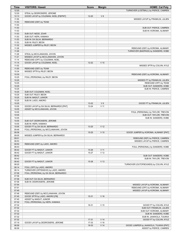| Time           | <b>VISITORS: Hawaii</b>                                          | <b>Score</b>   | <b>Margin</b>                      | <b>HOME: Cal Poly</b>                                                   |
|----------------|------------------------------------------------------------------|----------------|------------------------------------|-------------------------------------------------------------------------|
| 12:20          |                                                                  |                |                                    | TURNOVER (LOSTBALL) by PIERCE, CAMREN                                   |
| 12:20          | STEAL by DESROSIERS, JEROME                                      |                |                                    |                                                                         |
| 12:13          | GOOD! LAYUP by COLEMAN, NOEL [FB/PNT]                            | $12 - 20$      | V8                                 |                                                                         |
| 11:55          |                                                                  |                |                                    | MISSED LAYUP by FRANKLIN, JULIEN                                        |
| 11:53          | REBOUND (DEF) by TEAM                                            |                |                                    |                                                                         |
| 11:53          |                                                                  |                |                                    |                                                                         |
| 11:53          |                                                                  |                |                                    | SUB OUT: PIERCE, CAMREN                                                 |
| 11:53          |                                                                  |                |                                    | SUB IN: KOROMA, ALIMAMY                                                 |
| 11:53          | SUB OUT: NEDD, ZOAR                                              |                |                                    |                                                                         |
| 11:53          | SUB OUT: HEPA, KAMAKA                                            |                |                                    |                                                                         |
| 11:53          | SUB IN: DA SILVA, BERNARDO                                       |                |                                    |                                                                         |
| 11:53          | SUB IN: RILEY, BEON                                              |                |                                    |                                                                         |
| 11:32<br>11:28 | MISSED JUMPER by RILEY, BEON                                     |                |                                    |                                                                         |
| 11:26          |                                                                  |                |                                    | REBOUND (DEF) by KOROMA, ALIMAMY<br>TURNOVER (BADPASS) by SANDERS, KOBE |
| 11:26          | STEAL by MCCLANAHAN, JOVON                                       |                |                                    |                                                                         |
| 11:21          | MISSED LAYUP by MCCLANAHAN, JOVON                                |                |                                    |                                                                         |
| 11:14          | REBOUND (OFF) by COLEMAN, NOEL                                   |                |                                    |                                                                         |
| 11:14          | GOOD! LAYUP by COLEMAN, NOEL                                     | $12 - 22$      | $V$ 10                             |                                                                         |
| 11:02          |                                                                  |                |                                    | MISSED 3PTR by COLVIN, KYLE                                             |
| 11:00          | REBOUND (DEF) by TEAM                                            |                |                                    |                                                                         |
| 10:34          | MISSED 3PTR by RILEY, BEON                                       |                |                                    |                                                                         |
| 10:30          |                                                                  |                |                                    | REBOUND (DEF) by KOROMA, ALIMAMY                                        |
| 10:25          | FOUL (PERSONAL) by RILEY, BEON                                   |                |                                    |                                                                         |
| 10:25          |                                                                  |                |                                    | MISSED FT by FRANKLIN, JULIEN                                           |
| 10:25          |                                                                  |                |                                    | REBOUND (OFF) by TEAM                                                   |
| 10:25          |                                                                  |                |                                    | SUB OUT: SANDERS, KOBE                                                  |
| 10:25          |                                                                  |                |                                    | SUB IN: PIERCE, CAMREN                                                  |
| 10:25          | SUB OUT: COLEMAN, NOEL                                           |                |                                    |                                                                         |
| 10:25          | SUB OUT: RILEY, BEON                                             |                |                                    |                                                                         |
| 10:25          | SUB IN: MADUT, JUNIOR                                            |                |                                    |                                                                         |
| 10:25          | SUB IN: LADO, AMORO                                              |                |                                    |                                                                         |
| 10:25          |                                                                  | 13-22          | V <sub>9</sub>                     | GOOD! FT by FRANKLIN, JULIEN                                            |
| 10:05          | GOOD! LAYUP by DA SILVA, BERNARDO [PNT]                          | 13-24          | V <sub>11</sub>                    |                                                                         |
| 10:05          | ASSIST by MCCLANAHAN, JOVON                                      |                |                                    |                                                                         |
| 10:05<br>10:05 |                                                                  |                |                                    | FOUL (PERSONAL) by TAYLOR, TREVON                                       |
| 10:05          |                                                                  |                |                                    | SUB OUT: TAYLOR, TREVON<br>SUB IN: SANDERS, KOBE                        |
| 10:05          | SUB OUT: DESROSIERS, JEROME                                      |                |                                    |                                                                         |
| 10:05          | SUB IN: HEPA, KAMAKA                                             |                |                                    |                                                                         |
| 10:05          | GOOD! FT by DA SILVA, BERNARDO                                   | $13 - 25$      | V <sub>12</sub>                    |                                                                         |
| 09:49          | FOUL (PERSONAL) by MCCLANAHAN, JOVON                             |                |                                    |                                                                         |
| 09:36          |                                                                  | $15 - 25$      | $V$ 10                             | GOOD! JUMPER by KOROMA, ALIMAMY [PNT]                                   |
| 09:05          | MISSED JUMPER by DA SILVA, BERNARDO                              |                |                                    |                                                                         |
| 09:01          |                                                                  |                |                                    | REBOUND (DEF) by PIERCE, CAMREN                                         |
| 08:53          |                                                                  |                |                                    | MISSED LAYUP by PIERCE, CAMREN                                          |
| 08:50          | REBOUND (DEF) by LADO, AMORO                                     |                |                                    |                                                                         |
| 08:43          |                                                                  |                |                                    | FOUL (PERSONAL) by SANDERS, KOBE                                        |
| 08:42          | GOOD! FT by MADUT, JUNIOR                                        | $15 - 26$      | $V$ 11                             |                                                                         |
| 08:42          | GOOD! FT by MADUT, JUNIOR                                        | 15-27          | V <sub>12</sub>                    |                                                                         |
| 08:42          |                                                                  |                |                                    | SUB OUT: SANDERS, KOBE                                                  |
| 08:42          |                                                                  |                |                                    | SUB IN: TAYLOR, TREVON                                                  |
| 08:42          | GOOD! FT by MADUT, JUNIOR                                        | $15 - 28$      | V <sub>13</sub>                    |                                                                         |
| 08:20          |                                                                  |                |                                    | TURNOVER (OUTOFBOUNDS) by COLVIN, KYLE                                  |
| 08:14<br>08:14 | FOUL (OFF) by LADO, AMORO<br>TURNOVER (OFFENSIVE) by LADO, AMORO |                |                                    |                                                                         |
| 07:58          | FOUL (PERSONAL) by DA SILVA, BERNARDO                            |                |                                    |                                                                         |
| 07:58          |                                                                  |                |                                    |                                                                         |
| 07:58          | SUB OUT: DA SILVA, BERNARDO                                      |                |                                    |                                                                         |
| 07:58          | SUB IN: DESROSIERS, JEROME                                       |                |                                    |                                                                         |
| 07:54          |                                                                  |                |                                    | MISSED LAYUP by KOROMA, ALIMAMY                                         |
| 07:51          |                                                                  |                |                                    | REBOUND (OFF) by KOROMA, ALIMAMY                                        |
| 07:49          |                                                                  |                |                                    | MISSED LAYUP by KOROMA, ALIMAMY                                         |
| 07:46          | REBOUND (DEF) by MCCLANAHAN, JOVON                               |                |                                    |                                                                         |
| 07:45          | GOOD! 3PTR by LADO, AMORO [FB]                                   | $15 - 31$      | $V$ 16                             |                                                                         |
| 07:45          | ASSIST by MADUT, JUNIOR                                          |                |                                    |                                                                         |
| 07:32          | FOUL (PERSONAL) by HEPA, KAMAKA                                  |                |                                    |                                                                         |
| 07:32          |                                                                  | 16-31          | V <sub>15</sub>                    | GOOD! FT by COLVIN, KYLE                                                |
| 07:32          |                                                                  |                |                                    | SUB OUT: FRANKLIN, JULIEN                                               |
| 07:32          |                                                                  |                |                                    | SUB OUT: KOROMA, ALIMAMY                                                |
| 07:32          |                                                                  |                |                                    | SUB IN: SANDERS, KOBE                                                   |
| 07:32          |                                                                  |                |                                    | SUB IN: JAAKKOLA, TUUKKA                                                |
| 07:32          |                                                                  | $17 - 31$      | V <sub>14</sub>                    | GOOD! FT by COLVIN, KYLE                                                |
| 07:19<br>06:59 | GOOD! LAYUP by DESROSIERS, JEROME                                | 17-33<br>19-33 | V <sub>16</sub><br>V <sub>14</sub> | GOOD! JUMPER by JAAKKOLA, TUUKKA [PNT]                                  |
| 06:59          |                                                                  |                |                                    | ASSIST by PIERCE, CAMREN                                                |
|                |                                                                  |                |                                    |                                                                         |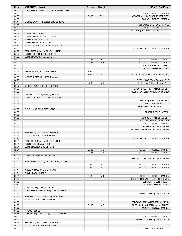| <b>Time</b>    | <b>VISITORS: Hawaii</b>                                         | <b>Score</b> | <b>Margin</b>   | <b>HOME: Cal Poly</b>                                        |
|----------------|-----------------------------------------------------------------|--------------|-----------------|--------------------------------------------------------------|
| 06:41          | TURNOVER (LOSTBALL) by DESROSIERS, JEROME                       |              |                 |                                                              |
| 06:41          |                                                                 |              |                 | STEAL by PIERCE, CAMREN                                      |
| 06:35          |                                                                 | 21-33        | V <sub>12</sub> | GOOD! LAYUP by SANDERS, KOBE [FB]                            |
| 06:35<br>06:14 | MISSED LAYUP by DESROSIERS, JEROME                              |              |                 | ASSIST by PIERCE, CAMREN                                     |
| 06:11          |                                                                 |              |                 | REBOUND (DEF) by COLVIN, KYLE                                |
| 06:06          |                                                                 |              |                 | FOUL (OFF) by COLVIN, KYLE                                   |
| 06:06          |                                                                 |              |                 | TURNOVER (OFFENSIVE) by COLVIN, KYLE                         |
| 06:06          | SUB OUT: LADO, AMORO                                            |              |                 |                                                              |
| 06:06          | SUB OUT: MCCLANAHAN, JOVON                                      |              |                 |                                                              |
| 06:06          | SUB IN: COLEMAN, NOEL                                           |              |                 |                                                              |
| 06:06          | SUB IN: DA SILVA, BERNARDO                                      |              |                 |                                                              |
| 05:41          | MISSED 3PTR by DESROSIERS, JEROME                               |              |                 |                                                              |
| 05:36          |                                                                 |              |                 | REBOUND (DEF) by PIERCE, CAMREN                              |
| 05:22<br>05:22 | FOUL (PERSONAL) by COLEMAN, NOEL<br>SUB OUT: DESROSIERS, JEROME |              |                 |                                                              |
| 05:22          | SUB IN: MCCLANAHAN, JOVON                                       |              |                 |                                                              |
| 05:22          |                                                                 | 22-33        | $V$ 11          | GOOD! FT by PIERCE, CAMREN                                   |
| 05:22          |                                                                 | 23-33        | $V$ 10          | GOOD! FT by PIERCE, CAMREN                                   |
| 05:22          |                                                                 |              |                 | SUB OUT: PIERCE, CAMREN                                      |
| 05:22          |                                                                 |              |                 | SUB IN: FRANKLIN, JULIEN                                     |
| 05:07          | GOOD! 3PTR by MCCLANAHAN, JOVON                                 | 23-36        | V <sub>13</sub> |                                                              |
| 04:46          |                                                                 | 25-36        | V <sub>11</sub> | GOOD! LAYUP by SANDERS, KOBE [PNT]                           |
| 04:33          | MISSED JUMPER by HEPA, KAMAKA                                   |              |                 |                                                              |
| 04:29          |                                                                 |              |                 | REBOUND (DEF) by COLVIN, KYLE                                |
| 04:03<br>03:37 |                                                                 | 27-36        | V <sub>9</sub>  | GOOD! JUMPER by COLVIN, KYLE                                 |
| 03:33          | MISSED LAYUP by COLEMAN, NOEL                                   |              |                 | REBOUND (DEF) by FRANKLIN, JULIEN                            |
| 03:22          |                                                                 |              |                 | MISSED JUMPER by JAAKKOLA, TUUKKA                            |
| 03:19          | REBOUND (DEF) by MADUT, JUNIOR                                  |              |                 |                                                              |
| 03:13          | MISSED DUNK by DA SILVA, BERNARDO                               |              |                 |                                                              |
| 03:13          |                                                                 |              |                 | BLOCK by JAAKKOLA, TUUKKA                                    |
| 03:07          |                                                                 |              |                 | REBOUND (DEF) by COLVIN, KYLE                                |
| 03:03          |                                                                 |              |                 | MISSED LAYUP by COLVIN, KYLE                                 |
| 03:03          | BLOCK by DA SILVA, BERNARDO                                     |              |                 |                                                              |
| 03:03          |                                                                 |              |                 | REBOUND (OFF) by TEAM                                        |
| 03:03<br>03:03 |                                                                 |              |                 | SUB OUT: FRANKLIN, JULIEN                                    |
| 03:03          |                                                                 |              |                 | SUB OUT: JAAKKOLA, TUUKKA                                    |
| 03:03          |                                                                 |              |                 | SUB IN: PIERCE, CAMREN                                       |
| 03:03          |                                                                 |              |                 | SUB IN: KOROMA, ALIMAMY                                      |
| 02:50          |                                                                 |              |                 | MISSED JUMPER by KOROMA, ALIMAMY                             |
| 02:47          | REBOUND (DEF) by HEPA, KAMAKA                                   |              |                 |                                                              |
| 02:44          | MISSED 3PTR by HEPA, KAMAKA                                     |              |                 |                                                              |
| 02:40          |                                                                 |              |                 | REBOUND (DEF) by PIERCE, CAMREN                              |
| 02:31          | FOUL (PERSONAL) by COLEMAN, NOEL                                |              |                 |                                                              |
| 02:31          | SUB OUT: COLEMAN, NOEL                                          |              |                 |                                                              |
| 02:31<br>02:31 | SUB IN: DESROSIERS, JEROME                                      | 28-36        | V8              | GOOD! FT by PIERCE, CAMREN                                   |
| 02:31          |                                                                 | 29-36        | V <sub>7</sub>  | GOOD! FT by PIERCE, CAMREN                                   |
| 02:11          | MISSED 3PTR by MADUT, JUNIOR                                    |              |                 |                                                              |
| 02:06          |                                                                 |              |                 | REBOUND (DEF) by KOROMA, ALIMAMY                             |
| 02:01          | FOUL (PERSONAL) by MCCLANAHAN, JOVON                            |              |                 |                                                              |
| 02:01          |                                                                 | 30-36        | $V_6$           | GOOD! FT by PIERCE, CAMREN                                   |
| 02:01          |                                                                 | 31-36        | V <sub>5</sub>  | GOOD! FT by PIERCE, CAMREN                                   |
| 02:01          | SUB OUT: MCCLANAHAN, JOVON                                      |              |                 |                                                              |
| 02:01          | SUB IN: LADO, AMORO                                             |              |                 |                                                              |
| 02:01          |                                                                 | 32-36        | V <sub>4</sub>  | GOOD! FT by PIERCE, CAMREN                                   |
| 01:52<br>01:52 |                                                                 |              |                 | FOUL (PERSONAL) by TAYLOR, TREVON<br>SUB OUT: TAYLOR, TREVON |
| 01:52          |                                                                 |              |                 | SUB IN: FRANKLIN, JULIEN                                     |
| 01:41          | FOUL (OFF) by LADO, AMORO                                       |              |                 |                                                              |
| 01:41          | TURNOVER (OFFENSIVE) by LADO, AMORO                             |              |                 |                                                              |
| 01:14          |                                                                 |              |                 | MISSED 3PTR by COLVIN, KYLE                                  |
| 01:10          | REBOUND (DEF) by DA SILVA, BERNARDO                             |              |                 |                                                              |
| 01:01          | MISSED 3PTR by LADO, AMORO                                      |              |                 |                                                              |
| 00:56          |                                                                 |              |                 | REBOUND (DEF) by KOROMA, ALIMAMY                             |
| 00:53          |                                                                 | 34-36        | V <sub>2</sub>  | GOOD! DUNK by FRANKLIN, JULIEN [FB]                          |
| 00:53          |                                                                 |              |                 | ASSIST by PIERCE, CAMREN                                     |
| 00:53          | TIMEOUT 30SEC                                                   |              |                 |                                                              |
| 00:41<br>00:41 | TURNOVER (LOSTBALL) by MADUT, JUNIOR                            |              |                 | STEAL by PIERCE, CAMREN                                      |
| 00:21          |                                                                 |              |                 | MISSED JUMPER by COLVIN, KYLE                                |
| 00:16          | REBOUND (DEF) by HEPA, KAMAKA                                   |              |                 |                                                              |
| 00:01          | MISSED 3PTR by MADUT, JUNIOR                                    |              |                 |                                                              |
| 00:00          |                                                                 |              |                 | REBOUND (DEF) by COLVIN, KYLE                                |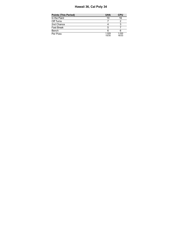# **Hawaii 36, Cal Poly 34**

| <b>Points (This Period)</b> | <b>UHA</b>     | <b>CPU</b>     |
|-----------------------------|----------------|----------------|
| In the Paint                | 10             | 16             |
| Off Turns                   |                |                |
| 2nd Chance                  |                |                |
| Fast Break                  | 5              |                |
| Bench                       | 6              |                |
| Per Poss                    | 1.029<br>15/35 | 1.030<br>16/33 |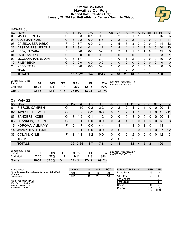#### **Official Box Score Hawaii vs Cal Poly Second Half Statistics Only January 22, 2022 at Mott Athletics Center - San Luis Obispo**



## **Hawaii 33**

| No. | Plaver               | S  | <b>Pts</b> | FG        | 3FG     | <b>FT</b> | <b>OR</b> | <b>DR</b> | <b>TR</b>      | PF           | A        | TO. | <b>Blk</b>   | Stl      | Min      | $+/-$        |
|-----|----------------------|----|------------|-----------|---------|-----------|-----------|-----------|----------------|--------------|----------|-----|--------------|----------|----------|--------------|
| 00  | <b>MADUT, JUNIOR</b> | G  | 0          | $0 - 3$   | $0 - 1$ | $0-0$     | 0         | 2         | 2              |              |          | 2   |              | 0        | 16       | 6            |
| 04  | COLEMAN, NOEL        | G  | 5          | $0 - 2$   | $0 - 0$ | $5-6$     | 0         | 2         | $\overline{2}$ | 2            |          | 0   | $\mathbf{0}$ | 0        | 17       | 11           |
| 05  | DA SILVA, BERNARDO   | F  | 9          | $3 - 7$   | $0 - 0$ | $3 - 4$   | 0         | 5         | 5              | 3            | 0        | 0   | 0            | 0        | 14       | 12           |
| 22  | DESROSIERS, JEROME   | F. |            | $3 - 4$   | $0 - 1$ | $1 - 1$   | 0         | 4         | 4              |              | 0        | 3   | $\Omega$     | $\Omega$ | 20       | 10           |
| 44  | HEPA, KAMAKA         | F. | 6          | $3-6$     | $0 - 1$ | $0-0$     | 2         | 2         | 4              | 1            | 0        |     | 0            | 0        | 15       | 8            |
| 01  | LADO, AMORO          | G  | 0          | $0 - 0$   | $0 - 0$ | $0 - 0$   | 0         | 0         | 0              | $\Omega$     | $\Omega$ | 0   | 0            | 0        | 3        | $-1$         |
| 03  | MCCLANAHAN, JOVON    | G  | 6          | 1-1       | 1-1     | $3 - 4$   |           | 0         |                | 2            | и        | 0   | 0            | 0        | 16       | 9            |
| 10  | RILEY, BEON          | G  | $\Omega$   | $0 - 0$   | $0 - 0$ | $0 - 0$   | 0         | 0         | $\Omega$       | $\mathbf{0}$ | 0        | 0   | $\mathbf{0}$ | 0        | $\Omega$ | $\mathbf{0}$ |
| 20  | NEDD, ZOAR           | F  | $\Omega$   | $0 - 0$   | $0 - 0$ | $0-0$     | 0         | 0         | 0              | 0            | 0        | 0   | 0            | 0        | 0        | $\mathbf{0}$ |
|     | TEAM                 |    |            |           |         |           |           | 1         | 2              | $\mathbf 0$  |          | 0   |              |          |          |              |
|     | <b>TOTALS</b>        |    | 33         | $10 - 23$ | $1 - 4$ | $12 - 15$ | 4         | 16        | 20             | 10           | 3        | 6   |              |          | 100      |              |

| <b>Shooting By Period</b><br>Period | FG        | FG%   | 3FG  | 3FG%  |           | FT%   | Deadball Rebounds: 1,0<br>Last FG Half: UHA - |
|-------------------------------------|-----------|-------|------|-------|-----------|-------|-----------------------------------------------|
| 2nd Half                            | 10-23     | 43%   | 1-4  | 25%   | $12 - 15$ | 80%   |                                               |
| Game                                | $22 - 53$ | 41.5% | 7-18 | 38.9% | 18-21     | 85.7% |                                               |

# **Cal Poly 22**

| No. | Player                  | S. | <b>Pts</b> | FG.      | 3FG     | FT      | <b>OR</b> | <b>DR</b> | TR             | <b>PF</b>       |              | A TO        | <b>Blk</b>       | Stl      | Min.              | $+/-$          |
|-----|-------------------------|----|------------|----------|---------|---------|-----------|-----------|----------------|-----------------|--------------|-------------|------------------|----------|-------------------|----------------|
| 01  | PIERCE, CAMREN          | G  | 4          | $1 - 10$ | $0 - 2$ | $2 - 2$ | 0         | 2         | 2              | 1.              | 3            |             | $\Omega$         | 0        | 20                | $-11$          |
| 02  | <b>TAYLOR, TREVON</b>   | G  | $\Omega$   | $0 - 2$  | $0 - 2$ | $0 - 0$ | $\Omega$  | 2         | 2              | 1               | 1            | 0           | -1               | $\Omega$ | $-15$             | $-11$          |
|     | 03 SANDERS, KOBE        | G  | 3          | $1 - 2$  | $0 - 1$ | $1 - 2$ | 0         | 0         | $\mathbf{0}$   | 3               | $\mathbf{0}$ | $\mathbf 0$ | $\Omega$         | $\Omega$ | <b>20</b>         | $-11$          |
|     | 05 FRANKLIN, JULIEN     | G  | $\Omega$   | $0 - 1$  | $0 - 0$ | $0 - 0$ | 0         | 4         | $\overline{4}$ | $\Omega$        | $\Omega$     | 1           | $\Omega$         | $\Omega$ | -13               | -8             |
|     | 15 KOROMA, ALIMAMY      | F. | 12         | $4 - 7$  | $0 - 0$ | $4 - 4$ |           | 3         | 4              | 3               | $\Omega$     | 3           | $\Omega$         | 1        | 13                | $\overline{1}$ |
| 14  | <b>JAAKKOLA, TUUKKA</b> | F. | $\Omega$   | $0 - 1$  | $0 - 0$ | $0 - 0$ | 0         | $\Omega$  | $\Omega$       | $\mathcal{P}$   | $\Omega$     | $\Omega$    | -1               | $\Omega$ | $\overline{7}$    | $-12$          |
| 33  | <b>COLVIN, KYLE</b>     | F. | 3          | $1 - 3$  | $1 - 2$ | $0 - 0$ | 0         | 0         | $\Omega$       | $\mathcal{P}$   | $\Omega$     | $\mathbf 0$ | $\Omega$         | $\Omega$ | $12 \overline{ }$ | -3             |
|     | <b>TEAM</b>             |    |            |          |         |         | 2         | 0         | 2              | - 0             |              | 0           |                  |          |                   |                |
|     | <b>TOTALS</b>           |    |            | 22 7-26  | 1-7     | 7-8     | 3         | 11        | 14             | 12 <sup>2</sup> | 4            | 5           | $\boldsymbol{P}$ |          | 1 100             |                |
|     |                         |    |            |          |         |         |           |           |                |                 |              |             |                  |          |                   |                |

| <b>Shooting By Period</b><br>Period | FG    | FG%   | 3FG      | 3FG%  | FТ      | FT%   |
|-------------------------------------|-------|-------|----------|-------|---------|-------|
| 2nd Half                            | 7-26  | 27%   | 1.7      | 14%   | 7-8     | 88%   |
| Game                                | 18-54 | 33.3% | $3 - 14$ | 21.4% | $17-19$ | 89.5% |

*Deadball Rebounds:* 2,0 *Last FG Half:* CPU -

| Game Notes:                                        | <b>Score</b> | 1st | 2 <sub>nd</sub> | <b>TOT</b> | <b>Points (This Period)</b> | UHA CPU       |                |
|----------------------------------------------------|--------------|-----|-----------------|------------|-----------------------------|---------------|----------------|
| Officials: Verne Harris, Levon Zakarian, John Paul | <b>UHA</b>   | 36  | 33              | 69         | In the Paint                | 16            | 12             |
| Guerrero<br>Attendance: 1371                       | CPU          | 34  | 22              | 56         | Off Turns                   |               |                |
|                                                    |              |     |                 |            | 2nd Chance                  |               |                |
| Start Time: 10:01 PM ET<br>End Time: 11:59 PM ET   |              |     |                 |            | <b>Fast Break</b>           |               |                |
| Game Duration: 1:57                                |              |     |                 |            | Bench                       |               |                |
| Conference Game:                                   |              |     |                 |            | Per Poss                    | .065<br>16/31 | 0.710<br>11/31 |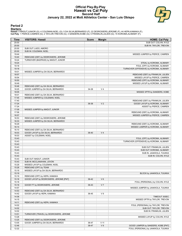#### **Official Play-By-Play Hawaii vs Cal Poly Second Half January 22, 2022 at Mott Athletics Center - San Luis Obispo**



#### **Period 2**

#### **Starters:**

Hawaii: 0 MADUT,JUNIOR (G); 4 COLEMAN,NOEL (G); 5 DA SILVA,BERNARDO (F); 22 DESROSIERS,JEROME (F); 44 HEPA,KAMAKA (F);<br>**Cal Poly**: 1 PIERCE,CAMREN (G); 2 TAYLOR,TREVON (G); 3 SANDERS,KOBE (G); 5 FRANKLIN,JULIEN (G); 15 KOR

| Time           | <b>VISITORS: Hawaii</b>                                            | <b>Score</b> | <b>Margin</b>   | <b>HOME: Cal Poly</b>                                               |
|----------------|--------------------------------------------------------------------|--------------|-----------------|---------------------------------------------------------------------|
| 20:00          |                                                                    |              |                 | SUB OUT: COLVIN, KYLE                                               |
| 20:00          |                                                                    |              |                 | SUB IN: TAYLOR, TREVON                                              |
| 20:00          | SUB OUT: LADO, AMORO                                               |              |                 |                                                                     |
| 20:00          | SUB IN: COLEMAN, NOEL                                              |              |                 |                                                                     |
| 19:44          |                                                                    |              |                 | MISSED JUMPER by PIERCE, CAMREN                                     |
| 19:40          | REBOUND (DEF) by DESROSIERS, JEROME                                |              |                 |                                                                     |
| 19:24          | TURNOVER (BADPASS) by MADUT, JUNIOR                                |              |                 |                                                                     |
| 19:24          |                                                                    |              |                 | STEAL by KOROMA, ALIMAMY                                            |
| 19:18          |                                                                    |              |                 | FOUL (OFF) by KOROMA, ALIMAMY                                       |
| 19:18          |                                                                    |              |                 | TURNOVER (OFFENSIVE) by KOROMA, ALIMAMY                             |
| 19:01          | MISSED JUMPER by DA SILVA, BERNARDO                                |              |                 |                                                                     |
| 18:57<br>18:54 |                                                                    |              |                 | REBOUND (DEF) by FRANKLIN, JULIEN<br>MISSED LAYUP by PIERCE, CAMREN |
| 18:50          |                                                                    |              |                 |                                                                     |
| 18:49          |                                                                    |              |                 | REBOUND (OFF) by KOROMA, ALIMAMY<br>MISSED LAYUP by KOROMA, ALIMAMY |
| 18:46          | REBOUND (DEF) by DA SILVA, BERNARDO                                |              |                 |                                                                     |
| 18:25          | GOOD! JUMPER by DA SILVA, BERNARDO                                 | 34-38        | V <sub>4</sub>  |                                                                     |
| 18:05          |                                                                    |              |                 | MISSED 3PTR by SANDERS, KOBE                                        |
| 18:01          | REBOUND (DEF) by DA SILVA, BERNARDO                                |              |                 |                                                                     |
| 17:45          | MISSED JUMPER by COLEMAN, NOEL                                     |              |                 |                                                                     |
| 17:40          |                                                                    |              |                 | REBOUND (DEF) by FRANKLIN, JULIEN                                   |
| 17:24          |                                                                    | 36-38        | V <sub>2</sub>  | GOOD! LAYUP by KOROMA, ALIMAMY                                      |
| 17:24          |                                                                    |              |                 | ASSIST by PIERCE, CAMREN                                            |
| 17:09          | MISSED JUMPER by MADUT, JUNIOR                                     |              |                 |                                                                     |
| 17:06          |                                                                    |              |                 | REBOUND (DEF) by KOROMA, ALIMAMY                                    |
| 16:57          |                                                                    |              |                 | MISSED JUMPER by PIERCE, CAMREN                                     |
| 16:53          | REBOUND (DEF) by DESROSIERS, JEROME                                |              |                 |                                                                     |
| 16:33          | MISSED JUMPER by DA SILVA, BERNARDO                                |              |                 |                                                                     |
| 16:29          |                                                                    |              |                 | REBOUND (DEF) by KOROMA, ALIMAMY                                    |
| 16:14          |                                                                    |              |                 | MISSED JUMPER by KOROMA, ALIMAMY                                    |
| 16:10          | REBOUND (DEF) by DA SILVA, BERNARDO                                |              |                 |                                                                     |
| 16:03          | GOOD! LAYUP by DA SILVA, BERNARDO                                  | 36-40        | V <sub>4</sub>  |                                                                     |
| 16:03          | ASSIST by COLEMAN, NOEL                                            |              |                 |                                                                     |
| 15:43          |                                                                    |              |                 | FOUL (OFF) by KOROMA, ALIMAMY                                       |
| 15:43          |                                                                    |              |                 | TURNOVER (OFFENSIVE) by KOROMA, ALIMAMY                             |
| 15:43          |                                                                    |              |                 |                                                                     |
| 15:43          |                                                                    |              |                 | SUB OUT: FRANKLIN, JULIEN                                           |
| 15:43          |                                                                    |              |                 | SUB OUT: KOROMA, ALIMAMY                                            |
| 15:43          |                                                                    |              |                 | SUB IN: JAAKKOLA, TUUKKA                                            |
| 15:43          |                                                                    |              |                 | SUB IN: COLVIN, KYLE                                                |
| 15:43          | SUB OUT: MADUT, JUNIOR                                             |              |                 |                                                                     |
| 15:43          | SUB IN: MCCLANAHAN, JOVON                                          |              |                 |                                                                     |
| 15:29          | MISSED LAYUP by COLEMAN, NOEL                                      |              |                 |                                                                     |
| 15:28          | REBOUND (OFF) by TEAM                                              |              |                 |                                                                     |
| 15:19          | MISSED LAYUP by DA SILVA, BERNARDO                                 |              |                 |                                                                     |
| 15:19          |                                                                    |              |                 | BLOCK by JAAKKOLA, TUUKKA                                           |
| 15:19          | REBOUND (OFF) by HEPA, KAMAKA                                      |              |                 |                                                                     |
| 15:18          | GOOD! LAYUP by DESROSIERS, JEROME [PNT]                            | 36-42        | $V_6$           |                                                                     |
| 15:18          |                                                                    |              |                 | FOUL (PERSONAL) by COLVIN, KYLE                                     |
| 15:18          | GOOD! FT by DESROSIERS, JEROME                                     | 36-43        | V <sub>7</sub>  |                                                                     |
| 14:57<br>14:53 |                                                                    |              |                 | MISSED JUMPER by JAAKKOLA, TUUKKA                                   |
| 14:42          | REBOUND (DEF) by DA SILVA, BERNARDO<br>GOOD! LAYUP by HEPA, KAMAKA | 36-45        | V <sub>9</sub>  |                                                                     |
| 14:36          |                                                                    |              |                 | TIMEOUT 30SEC                                                       |
| 14:15          |                                                                    |              |                 | MISSED 3PTR by TAYLOR, TREVON                                       |
| 14:11          | REBOUND (DEF) by HEPA, KAMAKA                                      |              |                 |                                                                     |
| 14:02          |                                                                    |              |                 | FOUL (PERSONAL) by TAYLOR, TREVON                                   |
| 14:02          |                                                                    |              |                 | SUB OUT: TAYLOR, TREVON                                             |
| 14:02          |                                                                    |              |                 | SUB IN: FRANKLIN, JULIEN                                            |
| 13:51          | TURNOVER (TRAVEL) by DESROSIERS, JEROME                            |              |                 |                                                                     |
| 13:28          |                                                                    |              |                 | MISSED LAYUP by COLVIN, KYLE                                        |
| 13:25          | REBOUND (DEF) by DESROSIERS, JEROME                                |              |                 |                                                                     |
| 13:05          | GOOD! JUMPER by DA SILVA, BERNARDO                                 | 36-47        | V <sub>11</sub> |                                                                     |
| 12:46          |                                                                    | 38-47        | V <sub>9</sub>  | GOOD! JUMPER by SANDERS, KOBE [PNT]                                 |
| 12:22          |                                                                    |              |                 | FOUL (PERSONAL) by JAAKKOLA, TUUKKA                                 |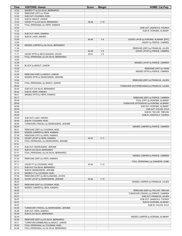| Time           | <b>VISITORS: Hawaii</b>                                          | <b>Score</b> | <b>Margin</b>   | <b>HOME: Cal Poly</b>                      |
|----------------|------------------------------------------------------------------|--------------|-----------------|--------------------------------------------|
| 12:22          | MISSED FT by DA SILVA, BERNARDO                                  |              |                 |                                            |
| 12:22          | REBOUND (OFF) by TEAM                                            |              |                 |                                            |
| 12:22          | SUB OUT: COLEMAN, NOEL                                           |              |                 |                                            |
| 12:22          | SUB IN: MADUT, JUNIOR                                            |              |                 |                                            |
| 12:22          | GOOD! FT by DA SILVA, BERNARDO                                   | 38-48        | $V$ 10          |                                            |
| 12:22          | FOUL (PERSONAL) by HEPA, KAMAKA                                  |              |                 |                                            |
| 12:22          |                                                                  |              |                 | SUB OUT: JAAKKOLA, TUUKKA                  |
| 12:22          |                                                                  |              |                 | SUB IN: KOROMA, ALIMAMY                    |
| 12:22          | SUB OUT: HEPA, KAMAKA                                            |              |                 |                                            |
| 12:22          | SUB IN: LADO, AMORO                                              |              |                 |                                            |
| 12:05          |                                                                  | 40-48        | V8              | GOOD! LAYUP by KOROMA, ALIMAMY [PNT]       |
| 12:05          |                                                                  |              |                 | ASSIST by PIERCE, CAMREN                   |
| 11:38          | MISSED JUMPER by DA SILVA, BERNARDO                              |              |                 |                                            |
| 11:34          |                                                                  |              |                 | REBOUND (DEF) by FRANKLIN, JULIEN          |
| 11:27          |                                                                  | 42-48        | $V_6$           | GOOD! LAYUP by PIERCE, CAMREN              |
| 11:11          | GOOD! 3PTR by MCCLANAHAN, JOVON                                  | 42-51        | V <sub>9</sub>  |                                            |
| 10:53<br>10:53 | FOUL (PERSONAL) by DA SILVA, BERNARDO                            |              |                 |                                            |
| 10:35          |                                                                  |              |                 | MISSED LAYUP by PIERCE, CAMREN             |
| 10:35          | BLOCK by MADUT, JUNIOR                                           |              |                 |                                            |
| 10:35          |                                                                  |              |                 | REBOUND (OFF) by TEAM                      |
| 10:32          |                                                                  |              |                 | MISSED 3PTR by PIERCE, CAMREN              |
| 10:29          | REBOUND (DEF) by MADUT, JUNIOR                                   |              |                 |                                            |
| 10:04          | MISSED 3PTR by DESROSIERS, JEROME                                |              |                 |                                            |
| 10:04          |                                                                  |              |                 | REBOUND (DEF) by FRANKLIN, JULIEN          |
| 10:04          | FOUL (PERSONAL) by MADUT, JUNIOR                                 |              |                 |                                            |
| 09:44          |                                                                  |              |                 | TURNOVER (OUTOFBOUNDS) by FRANKLIN, JULIEN |
| 09:44          | SUB OUT: DA SILVA, BERNARDO                                      |              |                 |                                            |
| 09:44          | SUB IN: HEPA, KAMAKA                                             |              |                 |                                            |
| 09:21          | MISSED 3PTR by HEPA, KAMAKA                                      |              |                 |                                            |
| 09:17          |                                                                  |              |                 | REBOUND (DEF) by PIERCE, CAMREN            |
| 09:09          |                                                                  |              |                 | FOUL (OFF) by KOROMA, ALIMAMY              |
| 09:09          |                                                                  |              |                 | TURNOVER (OFFENSIVE) by KOROMA, ALIMAMY    |
| 09:09          |                                                                  |              |                 | SUB OUT: KOROMA, ALIMAMY                   |
| 09:09          |                                                                  |              |                 | SUB OUT: COLVIN, KYLE                      |
| 09:09          |                                                                  |              |                 | SUB IN: TAYLOR, TREVON                     |
| 09:09          |                                                                  |              |                 | SUB IN: JAAKKOLA, TUUKKA                   |
| 09:09          | SUB OUT: LADO, AMORO                                             |              |                 |                                            |
| 09:09          | SUB IN: COLEMAN, NOEL                                            |              |                 |                                            |
| 08:50          | TURNOVER (TRAVEL) by DESROSIERS, JEROME                          |              |                 |                                            |
| 08:24          |                                                                  |              |                 | MISSED JUMPER by PIERCE, CAMREN            |
| 08:21          | REBOUND (DEF) by COLEMAN, NOEL                                   |              |                 |                                            |
| 08:00          | MISSED JUMPER by HEPA, KAMAKA                                    |              |                 |                                            |
| 07:54<br>07:54 | REBOUND (OFF) by HEPA, KAMAKA<br>GOOD! LAYUP by HEPA, KAMAKA     | 42-53        | V <sub>11</sub> |                                            |
| 07:41          | FOUL (PERSONAL) by DESROSIERS, JEROME                            |              |                 |                                            |
| 07:41          |                                                                  |              |                 |                                            |
| 07:41          | SUB OUT: DESROSIERS, JEROME                                      |              |                 |                                            |
| 07:41          | SUB IN: DA SILVA, BERNARDO                                       |              |                 |                                            |
| 07:31          | FOUL (PERSONAL) by DA SILVA, BERNARDO                            |              |                 |                                            |
| 07:27          |                                                                  |              |                 | MISSED JUMPER by PIERCE, CAMREN            |
| 07:22          | REBOUND (DEF) by HEPA, KAMAKA                                    |              |                 |                                            |
| 07:11          |                                                                  |              |                 | FOUL (PERSONAL) by SANDERS, KOBE           |
| 07:11          | GOOD! FT by COLEMAN, NOEL                                        | 42-54        | V <sub>12</sub> |                                            |
| 07:11          | SUB OUT: DA SILVA, BERNARDO                                      |              |                 |                                            |
| 07:11          | SUB IN: DESROSIERS, JEROME                                       |              |                 |                                            |
| 07:10          | MISSED FT by COLEMAN, NOEL                                       |              |                 |                                            |
| 07:04          | REBOUND (OFF) by MCCLANAHAN, JOVON                               |              |                 |                                            |
| 06:49          | GOOD! LAYUP by DESROSIERS, JEROME                                | 42-56        | V <sub>14</sub> |                                            |
| 06:32          |                                                                  |              |                 | MISSED JUMPER by FRANKLIN, JULIEN          |
| 06:27          | REBOUND (DEF) by COLEMAN, NOEL                                   |              |                 |                                            |
| 06:05          | MISSED JUMPER by HEPA, KAMAKA                                    |              |                 |                                            |
| 06:00          |                                                                  |              |                 | REBOUND (DEF) by TAYLOR, TREVON            |
| 05:57          |                                                                  |              |                 | TURNOVER (TRAVEL) by PIERCE, CAMREN        |
| 05:57          |                                                                  |              |                 | SUB OUT: FRANKLIN, JULIEN                  |
| 05:57          |                                                                  |              |                 | SUB OUT: JAAKKOLA, TUUKKA                  |
| 05:57          |                                                                  |              |                 | SUB IN: KOROMA, ALIMAMY                    |
| 05:57          |                                                                  |              |                 | SUB IN: COLVIN, KYLE                       |
| 05:46<br>05:46 | TURNOVER (TRAVEL) by DESROSIERS, JEROME<br>SUB OUT: HEPA, KAMAKA |              |                 |                                            |
| 05:46          | SUB IN: DA SILVA, BERNARDO                                       |              |                 |                                            |
| 05:30          |                                                                  |              |                 | MISSED JUMPER by KOROMA, ALIMAMY           |
| 05:26          | REBOUND (DEF) by DA SILVA, BERNARDO                              |              |                 |                                            |
| 05:11          | TURNOVER (DRIBBLING) by MADUT, JUNIOR                            |              |                 |                                            |
| 05:02          | FOUL (PERSONAL) by COLEMAN, NOEL                                 |              |                 |                                            |
| 04:58          | FOUL (PERSONAL) by DA SILVA, BERNARDO                            |              |                 |                                            |
|                |                                                                  |              |                 |                                            |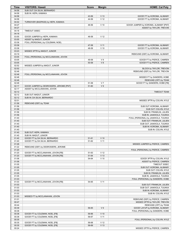| Time           | <b>VISITORS: Hawaii</b>                  | <b>Score</b>   | <b>Margin</b>                      | <b>HOME: Cal Poly</b>                 |
|----------------|------------------------------------------|----------------|------------------------------------|---------------------------------------|
| 04:58          | SUB OUT: DA SILVA, BERNARDO              |                |                                    |                                       |
| 04:58          | SUB IN: HEPA, KAMAKA                     |                |                                    |                                       |
| 04:58          |                                          | 43-56          | V <sub>13</sub>                    | GOOD! FT by KOROMA, ALIMAMY           |
| 04:58          |                                          | 44-56          | V <sub>12</sub>                    | GOOD! FT by KOROMA, ALIMAMY           |
| 04:42<br>04:27 | TURNOVER (BADPASS) by HEPA, KAMAKA       | 46-56          | $V$ 10                             | GOOD! JUMPER by KOROMA, ALIMAMY [PNT] |
| 04:27          |                                          |                |                                    | ASSIST by TAYLOR, TREVON              |
| 04:18          | TIMEOUT 30SEC                            |                |                                    |                                       |
| 04:18          |                                          |                |                                    |                                       |
| 03:55          | GOOD! JUMPER by HEPA, KAMAKA             | 46-58          | V <sub>12</sub>                    |                                       |
| 03:55          | ASSIST by MADUT, JUNIOR                  |                |                                    |                                       |
| 03:36          | FOUL (PERSONAL) by COLEMAN, NOEL         |                |                                    |                                       |
| 03:36<br>03:36 |                                          | 47-58<br>48-58 | V <sub>11</sub><br>$V$ 10          | GOOD! FT by KOROMA, ALIMAMY           |
| 03:23          | MISSED 3PTR by MADUT, JUNIOR             |                |                                    | GOOD! FT by KOROMA, ALIMAMY           |
| 03:19          |                                          |                |                                    | REBOUND (DEF) by KOROMA, ALIMAMY      |
| 03:05          | FOUL (PERSONAL) by MCCLANAHAN, JOVON     |                |                                    |                                       |
| 03:05          |                                          | 49-58          | V <sub>9</sub>                     | GOOD! FT by PIERCE, CAMREN            |
| 03:05          |                                          | 50-58          | V8                                 | GOOD! FT by PIERCE, CAMREN            |
| 02:52          | MISSED JUMPER by MADUT, JUNIOR           |                |                                    |                                       |
| 02:52          |                                          |                |                                    | BLOCK by TAYLOR, TREVON               |
| 02:48<br>02:48 | FOUL (PERSONAL) by MCCLANAHAN, JOVON     |                |                                    | REBOUND (DEF) by TAYLOR, TREVON       |
| 02:48          |                                          |                |                                    | MISSED FT by SANDERS, KOBE            |
| 02:48          |                                          |                |                                    | REBOUND (OFF) by TEAM                 |
| 02:48          |                                          | 51-58          | V <sub>7</sub>                     | GOOD! FT by SANDERS, KOBE [FB]        |
| 02:17          | GOOD! JUMPER by DESROSIERS, JEROME [PNT] | 51-60          | V <sub>9</sub>                     |                                       |
| 02:17          | ASSIST by MCCLANAHAN, JOVON              |                |                                    |                                       |
| 02:12          |                                          |                |                                    | <b>TIMEOUT TEAM</b>                   |
| 02:12          | SUB OUT: MADUT, JUNIOR                   |                |                                    |                                       |
| 02:12          | SUB IN: DA SILVA, BERNARDO               |                |                                    |                                       |
| 02:01<br>01:56 |                                          |                |                                    | MISSED 3PTR by COLVIN, KYLE           |
| 01:56          | REBOUND (DEF) by TEAM                    |                |                                    | SUB OUT: KOROMA, ALIMAMY              |
| 01:56          |                                          |                |                                    | SUB OUT: COLVIN, KYLE                 |
| 01:56          |                                          |                |                                    | SUB IN: FRANKLIN, JULIEN              |
| 01:56          |                                          |                |                                    | SUB IN: JAAKKOLA, TUUKKA              |
| 01:40          |                                          |                |                                    | FOUL (PERSONAL) by JAAKKOLA, TUUKKA   |
| 01:40          |                                          |                |                                    | SUB OUT: FRANKLIN, JULIEN             |
| 01:40          |                                          |                |                                    | SUB OUT: JAAKKOLA, TUUKKA             |
| 01:40          |                                          |                |                                    | SUB IN: KOROMA, ALIMAMY               |
| 01:40<br>01:40 | SUB OUT: HEPA, KAMAKA                    |                |                                    | SUB IN: COLVIN, KYLE                  |
| 01:40          | SUB IN: MADUT, JUNIOR                    |                |                                    |                                       |
| 01:40          | GOOD! FT by DA SILVA, BERNARDO           | $51 - 61$      | $V$ 10                             |                                       |
| 01:40          | GOOD! FT by DA SILVA, BERNARDO           | 51-62          | $V$ 11                             |                                       |
| 01:26          |                                          |                |                                    | MISSED JUMPER by PIERCE, CAMREN       |
| 01:22          | REBOUND (DEF) by DESROSIERS, JEROME      |                |                                    |                                       |
| 01:20          |                                          |                |                                    | FOUL (PERSONAL) by PIERCE, CAMREN     |
| 01:20          | GOOD! FT by MCCLANAHAN, JOVON [FB]       | 51-63          | V <sub>12</sub><br>V <sub>13</sub> |                                       |
| 01:20<br>01:06 | GOOD! FT by MCCLANAHAN, JOVON [FB]       | 51-64<br>54-64 | $V$ 10                             | GOOD! 3PTR by COLVIN, KYLE            |
| 01:06          |                                          |                |                                    | ASSIST by PIERCE, CAMREN              |
| 01:05          |                                          |                |                                    | TIMEOUT 30SEC                         |
| 01:05          |                                          |                |                                    | SUB OUT: KOROMA, ALIMAMY              |
| 01:05          |                                          |                |                                    | SUB OUT: COLVIN, KYLE                 |
| 01:05          |                                          |                |                                    | SUB IN: FRANKLIN, JULIEN              |
| 01:05          |                                          |                |                                    | SUB IN: JAAKKOLA, TUUKKA              |
| 01:03          |                                          |                |                                    | FOUL (PERSONAL) by SANDERS, KOBE      |
| 01:03<br>01:03 | GOOD! FT by MCCLANAHAN, JOVON [FB]       | 54-65          | $V$ 11                             | SUB OUT: FRANKLIN, JULIEN             |
| 01:03          |                                          |                |                                    | SUB OUT: JAAKKOLA, TUUKKA             |
| 01:03          |                                          |                |                                    | SUB IN: KOROMA, ALIMAMY               |
| 01:03          |                                          |                |                                    | SUB IN: COLVIN, KYLE                  |
| 01:03          | MISSED FT by MCCLANAHAN, JOVON           |                |                                    |                                       |
| 01:01          |                                          |                |                                    | REBOUND (DEF) by PIERCE, CAMREN       |
| 00:47          |                                          |                |                                    | MISSED 3PTR by TAYLOR, TREVON         |
| 00:44          |                                          |                |                                    | REBOUND (OFF) by TEAM                 |
| 00:39          |                                          | 56-65          | V <sub>9</sub>                     | GOOD! LAYUP by KOROMA, ALIMAMY        |
| 00:38<br>00:38 | GOOD! FT by COLEMAN, NOEL [FB]           | 56-66          | $V$ 10                             | FOUL (PERSONAL) by SANDERS, KOBE      |
| 00:38          | GOOD! FT by COLEMAN, NOEL [FB]           | 56-67          | $V$ 11                             |                                       |
| 00:35          |                                          |                |                                    | FOUL (PERSONAL) by COLVIN, KYLE       |
| 00:35          | GOOD! FT by COLEMAN, NOEL [FB]           | 56-68          | V <sub>12</sub>                    |                                       |
| 00:35          | GOOD! FT by COLEMAN, NOEL [FB]           | 56-69          | V 13                               |                                       |
| 00:24          |                                          |                |                                    | MISSED 3PTR by PIERCE, CAMREN         |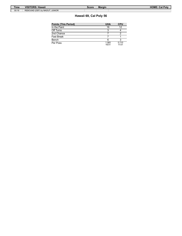| Time  | <b>VISITORS: Hawaii</b>        | Score | <b>Margin</b> | <b>HOME: Cal Polv</b> |
|-------|--------------------------------|-------|---------------|-----------------------|
| 00:19 | REBOUND (DEF) by MADUT, JUNIOR |       |               |                       |

# **Hawaii 69, Cal Poly 56**

| <b>Points (This Period)</b> | <b>UHA</b>     | <b>CPU</b>     |
|-----------------------------|----------------|----------------|
| In the Paint                | 16             | 12             |
| Off Turns                   |                |                |
| 2nd Chance                  |                |                |
| Fast Break                  |                |                |
| Bench                       |                |                |
| Per Poss                    | 1.065<br>16/31 | 0.710<br>11/31 |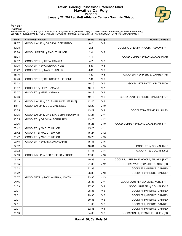### **Official Scoring/Possession Reference Chart Hawaii vs Cal Poly Period 1 January 22, 2022 at Mott Athletics Center - San Luis Obispo**



#### **Period 1**

#### **Starters:**

Hawaii: 0 MADUT,JUNIOR (G); 4 COLEMAN,NOEL (G); 5 DA SILVA,BERNARDO (F); 22 DESROSIERS,JEROME (F); 44 HEPA,KAMAKA (F);<br>**Cal Poly**: 1 PIERCE,CAMREN (G); 2 TAYLOR,TREVON (G); 3 SANDERS,KOBE (G); 5 FRANKLIN,JULIEN (G); 15 KOR

| <b>Time</b> | <b>VISITORS: Hawaii</b>                 | <b>Score</b> | <b>Margin</b>   | <b>HOME: Cal Poly</b>                  |
|-------------|-----------------------------------------|--------------|-----------------|----------------------------------------|
| 19:27       | GOOD! LAYUP by DA SILVA, BERNARDO       | $0 - 2$      | V <sub>2</sub>  |                                        |
| 19:08       |                                         | $2 - 2$      | T.              | GOOD! JUMPER by TAYLOR, TREVON [PNT]   |
| 18:28       | GOOD! JUMPER by MADUT, JUNIOR           | $2 - 4$      | V <sub>2</sub>  |                                        |
| 18:04       |                                         | $4 - 4$      | T.              | GOOD! JUMPER by KOROMA, ALIMAMY        |
| 17:37       | GOOD! 3PTR by HEPA, KAMAKA              | 4-7          | $V_3$           |                                        |
| 17:05       | GOOD! 3PTR by COLEMAN, NOEL             | $4 - 10$     | V6              |                                        |
| 16:22       | GOOD! 3PTR by MADUT, JUNIOR             | 4-13         | V <sub>9</sub>  |                                        |
| 15:16       |                                         | $7-13$       | V6              | GOOD! 3PTR by PIERCE, CAMREN [FB]      |
| 14:40       | GOOD! 3PTR by DESROSIERS, JEROME        | $7 - 16$     | V <sub>9</sub>  |                                        |
| 13:22       |                                         | 10-16        | V6              | GOOD! 3PTR by TAYLOR, TREVON           |
| 13:07       | GOOD! FT by HEPA, KAMAKA                | 10-17        | V <sub>7</sub>  |                                        |
| 13:07       | GOOD! FT by HEPA, KAMAKA                | $10 - 18$    | V8              |                                        |
| 12:46       |                                         | $12 - 18$    | $V_6$           | GOOD! LAYUP by PIERCE, CAMREN [PNT]    |
| 12:13       | GOOD! LAYUP by COLEMAN, NOEL [FB/PNT]   | 12-20        | V8              |                                        |
| 11:14       | GOOD! LAYUP by COLEMAN, NOEL            | $12 - 22$    | $V$ 10          |                                        |
| 10:25       |                                         | $13 - 22$    | V <sub>9</sub>  | GOOD! FT by FRANKLIN, JULIEN           |
| 10:05       | GOOD! LAYUP by DA SILVA, BERNARDO [PNT] | 13-24        | V <sub>11</sub> |                                        |
| 10:05       | GOOD! FT by DA SILVA, BERNARDO          | 13-25        | V <sub>12</sub> |                                        |
| 09:36       |                                         | 15-25        | $V$ 10          | GOOD! JUMPER by KOROMA, ALIMAMY [PNT]  |
| 08:42       | GOOD! FT by MADUT, JUNIOR               | 15-26        | V <sub>11</sub> |                                        |
| 08:42       | GOOD! FT by MADUT, JUNIOR               | 15-27        | V <sub>12</sub> |                                        |
| 08:42       | GOOD! FT by MADUT, JUNIOR               | 15-28        | V <sub>13</sub> |                                        |
| 07:45       | GOOD! 3PTR by LADO, AMORO [FB]          | 15-31        | V <sub>16</sub> |                                        |
| 07:32       |                                         | 16-31        | V <sub>15</sub> | GOOD! FT by COLVIN, KYLE               |
| 07:32       |                                         | 17-31        | V <sub>14</sub> | GOOD! FT by COLVIN, KYLE               |
| 07:19       | GOOD! LAYUP by DESROSIERS, JEROME       | 17-33        | $V$ 16          |                                        |
| 06:59       |                                         | 19-33        | V <sub>14</sub> | GOOD! JUMPER by JAAKKOLA, TUUKKA [PNT] |
| 06:35       |                                         | 21-33        | V <sub>12</sub> | GOOD! LAYUP by SANDERS, KOBE [FB]      |
| 05:22       |                                         | 22-33        | $V$ 11          | GOOD! FT by PIERCE, CAMREN             |
| 05:22       |                                         | 23-33        | $V$ 10          | GOOD! FT by PIERCE, CAMREN             |
| 05:07       | GOOD! 3PTR by MCCLANAHAN, JOVON         | 23-36        | V <sub>13</sub> |                                        |
| 04:46       |                                         | 25-36        | V <sub>11</sub> | GOOD! LAYUP by SANDERS, KOBE [PNT]     |
| 04:03       |                                         | 27-36        | V <sub>9</sub>  | GOOD! JUMPER by COLVIN, KYLE           |
| 02:31       |                                         | 28-36        | V8              | GOOD! FT by PIERCE, CAMREN             |
| 02:31       |                                         | 29-36        | V <sub>7</sub>  | GOOD! FT by PIERCE, CAMREN             |
| 02:01       |                                         | 30-36        | V6              | GOOD! FT by PIERCE, CAMREN             |
| 02:01       |                                         | 31-36        | V <sub>5</sub>  | GOOD! FT by PIERCE, CAMREN             |
| 02:01       |                                         | 32-36        | V <sub>4</sub>  | GOOD! FT by PIERCE, CAMREN             |
| 00:53       |                                         | 34-36        | V <sub>2</sub>  | GOOD! DUNK by FRANKLIN, JULIEN [FB]    |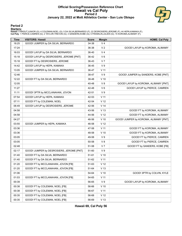### **Official Scoring/Possession Reference Chart Hawaii vs Cal Poly Period 2 January 22, 2022 at Mott Athletics Center - San Luis Obispo**



#### **Period 2**

#### **Starters:**

Hawaii: 0 MADUT,JUNIOR (G); 4 COLEMAN,NOEL (G); 5 DA SILVA,BERNARDO (F); 22 DESROSIERS,JEROME (F); 44 HEPA,KAMAKA (F);<br>**Cal Poly**: 1 PIERCE,CAMREN (G); 2 TAYLOR,TREVON (G); 3 SANDERS,KOBE (G); 5 FRANKLIN,JULIEN (G); 15 KOR

| <b>Time</b> | <b>VISITORS: Hawaii</b>                  | <b>Score</b> | <b>Margin</b>   | <b>HOME: Cal Poly</b>                 |
|-------------|------------------------------------------|--------------|-----------------|---------------------------------------|
| 18:25       | GOOD! JUMPER by DA SILVA, BERNARDO       | 34-38        | V <sub>4</sub>  |                                       |
| 17:24       |                                          | 36-38        | V <sub>2</sub>  | GOOD! LAYUP by KOROMA, ALIMAMY        |
| 16:03       | GOOD! LAYUP by DA SILVA, BERNARDO        | 36-40        | V <sub>4</sub>  |                                       |
| 15:18       | GOOD! LAYUP by DESROSIERS, JEROME [PNT]  | 36-42        | $V_6$           |                                       |
| 15:18       | GOOD! FT by DESROSIERS, JEROME           | 36-43        | V <sub>7</sub>  |                                       |
| 14:42       | GOOD! LAYUP by HEPA, KAMAKA              | 36-45        | V <sub>9</sub>  |                                       |
| 13:05       | GOOD! JUMPER by DA SILVA, BERNARDO       | 36-47        | $V$ 11          |                                       |
| 12:46       |                                          | 38-47        | V <sub>9</sub>  | GOOD! JUMPER by SANDERS, KOBE [PNT]   |
| 12:22       | GOOD! FT by DA SILVA, BERNARDO           | 38-48        | $V$ 10          |                                       |
| 12:05       |                                          | 40-48        | V8              | GOOD! LAYUP by KOROMA, ALIMAMY [PNT]  |
| 11:27       |                                          | 42-48        | $V_6$           | GOOD! LAYUP by PIERCE, CAMREN         |
| 11:11       | GOOD! 3PTR by MCCLANAHAN, JOVON          | 42-51        | V <sub>9</sub>  |                                       |
| 07:54       | GOOD! LAYUP by HEPA, KAMAKA              | 42-53        | V <sub>11</sub> |                                       |
| 07:11       | GOOD! FT by COLEMAN, NOEL                | 42-54        | V <sub>12</sub> |                                       |
| 06:49       | GOOD! LAYUP by DESROSIERS, JEROME        | 42-56        | V <sub>14</sub> |                                       |
| 04:58       |                                          | 43-56        | V <sub>13</sub> | GOOD! FT by KOROMA, ALIMAMY           |
| 04:58       |                                          | 44-56        | V <sub>12</sub> | GOOD! FT by KOROMA, ALIMAMY           |
| 04:27       |                                          | 46-56        | $V$ 10          | GOOD! JUMPER by KOROMA, ALIMAMY [PNT] |
| 03:55       | GOOD! JUMPER by HEPA, KAMAKA             | 46-58        | V <sub>12</sub> |                                       |
| 03:36       |                                          | 47-58        | $V$ 11          | GOOD! FT by KOROMA, ALIMAMY           |
| 03:36       |                                          | 48-58        | $V$ 10          | GOOD! FT by KOROMA, ALIMAMY           |
| 03:05       |                                          | 49-58        | V <sub>9</sub>  | GOOD! FT by PIERCE, CAMREN            |
| 03:05       |                                          | 50-58        | V8              | GOOD! FT by PIERCE, CAMREN            |
| 02:48       |                                          | 51-58        | V <sub>7</sub>  | GOOD! FT by SANDERS, KOBE [FB]        |
| 02:17       | GOOD! JUMPER by DESROSIERS, JEROME [PNT] | 51-60        | V <sub>9</sub>  |                                       |
| 01:40       | GOOD! FT by DA SILVA, BERNARDO           | $51 - 61$    | $V$ 10          |                                       |
| 01:40       | GOOD! FT by DA SILVA, BERNARDO           | 51-62        | V <sub>11</sub> |                                       |
| 01:20       | GOOD! FT by MCCLANAHAN, JOVON [FB]       | 51-63        | V <sub>12</sub> |                                       |
| 01:20       | GOOD! FT by MCCLANAHAN, JOVON [FB]       | 51-64        | V <sub>13</sub> |                                       |
| 01:06       |                                          | 54-64        | $V$ 10          | GOOD! 3PTR by COLVIN, KYLE            |
| 01:03       | GOOD! FT by MCCLANAHAN, JOVON [FB]       | 54-65        | $V$ 11          |                                       |
| 00:39       |                                          | 56-65        | V <sub>9</sub>  | GOOD! LAYUP by KOROMA, ALIMAMY        |
| 00:38       | GOOD! FT by COLEMAN, NOEL [FB]           | 56-66        | $V$ 10          |                                       |
| 00:38       | GOOD! FT by COLEMAN, NOEL [FB]           | 56-67        | V <sub>11</sub> |                                       |
| 00:35       | GOOD! FT by COLEMAN, NOEL [FB]           | 56-68        | V <sub>12</sub> |                                       |
| 00:35       | GOOD! FT by COLEMAN, NOEL [FB]           | 56-69        | V <sub>13</sub> |                                       |

**Hawaii 69, Cal Poly 56**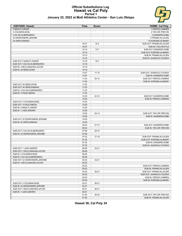# **Official Substitutions Log Hawaii vs Cal Poly Period 1**



#### **January 22, 2022 at Mott Athletics Center - San Luis Obispo**

| <b>VISITORS: Hawaii</b>                                | <b>Time</b>    | <b>Score</b> | <b>HOME: Cal Poly</b>     |
|--------------------------------------------------------|----------------|--------------|---------------------------|
| 0 MADUT, JUNIOR                                        |                |              | 1 PIERCE, CAMREN          |
| 4 COLEMAN.NOEL                                         |                |              | 2 TAYLOR, TREVON          |
| 5 DA SILVA, BERNARDO                                   |                |              | 3 SANDERS, KOBE           |
| 22 DESROSIERS, JEROME                                  |                |              | 5 FRANKLIN, JULIEN        |
| 44 HEPA, KAMAKA                                        |                |              | 15 KOROMA, ALIMAMY        |
|                                                        | 16:37          | $10 - 4$     | SUB OUT: FRANKLIN, JULIEN |
|                                                        | 16:37          |              | SUB IN: COLVIN, KYLE      |
|                                                        | 15:10          | $13 - 7$     | SUB OUT: SANDERS, KOBE    |
|                                                        | 15:10          |              | SUB OUT: KOROMA, ALIMAMY  |
|                                                        | 15:10          |              | SUB IN: FRANKLIN, JULIEN  |
|                                                        | 15:10          |              | SUB IN: JAAKKOLA, TUUKKA  |
| SUB OUT: 0 MADUT, JUNIOR                               | 14:19          | $16 - 7$     |                           |
| SUB OUT: 5 DA SILVA, BERNARDO                          | 14:19          |              |                           |
| SUB IN: 3 MCCLANAHAN, JOVON                            | 14:19          |              |                           |
| SUB IN: 20 NEDD, ZOAR                                  | 14:19          |              |                           |
|                                                        | 13:07          | $17-10$      | SUB OUT: JAAKKOLA, TUUKKA |
|                                                        | 13:07          |              | SUB IN: SANDERS, KOBE     |
|                                                        | 11:53          | $20 - 12$    | SUB OUT: PIERCE, CAMREN   |
|                                                        | 11:53          |              | SUB IN: KOROMA, ALIMAMY   |
| SUB OUT: 20 NEDD, ZOAR                                 | 11:53          |              |                           |
| SUB OUT: 44 HEPA, KAMAKA                               | 11:53          |              |                           |
| SUB IN: 5 DA SILVA, BERNARDO                           | 11:53          |              |                           |
| SUB IN: 10 RILEY.BEON                                  | 11:53          |              |                           |
|                                                        | 10:25          | $22 - 12$    | SUB OUT: SANDERS, KOBE    |
|                                                        | 10:25          |              | SUB IN: PIERCE, CAMREN    |
| SUB OUT: 4 COLEMAN, NOEL                               | 10:25          |              |                           |
| SUB OUT: 10 RILEY, BEON                                | 10:25          |              |                           |
| SUB IN: 0 MADUT, JUNIOR                                | 10:25          |              |                           |
| SUB IN: 1 LADO, AMORO                                  | 10:25          |              |                           |
|                                                        | 10:05          | $24-13$      | SUB OUT: TAYLOR, TREVON   |
|                                                        | 10:05          |              | SUB IN: SANDERS, KOBE     |
| SUB OUT: 22 DESROSIERS, JEROME                         | 10:05          |              |                           |
| SUB IN: 44 HEPA, KAMAKA                                | 10:05          |              |                           |
|                                                        | 08:42          | $27 - 15$    | SUB OUT: SANDERS, KOBE    |
|                                                        | 08:42          |              | SUB IN: TAYLOR, TREVON    |
| SUB OUT: 5 DA SILVA, BERNARDO                          | 07:58          | $28-15$      |                           |
| SUB IN: 22 DESROSIERS, JEROME                          | 07:58          |              |                           |
|                                                        | 07:32          | $31 - 16$    | SUB OUT: FRANKLIN, JULIEN |
|                                                        | 07:32          |              | SUB OUT: KOROMA, ALIMAMY  |
|                                                        | 07:32          |              | SUB IN: SANDERS.KOBE      |
|                                                        | 07:32          |              | SUB IN: JAAKKOLA, TUUKKA  |
| SUB OUT: 1 LADO, AMORO                                 | 06:06          | $33 - 21$    |                           |
| SUB OUT: 3 MCCLANAHAN, JOVON<br>SUB IN: 4 COLEMAN.NOEL | 06:06<br>06:06 |              |                           |
| SUB IN: 5 DA SILVA, BERNARDO                           | 06:06          |              |                           |
| SUB OUT: 22 DESROSIERS, JEROME                         | 05:22          | $33 - 21$    |                           |
| SUB IN: 3 MCCLANAHAN, JOVON                            | 05:22          |              |                           |
|                                                        | 05:22          |              | SUB OUT: PIERCE, CAMREN   |
|                                                        | 05:22          |              | SUB IN: FRANKLIN, JULIEN  |
|                                                        | 03:03          | 36-27        | SUB OUT: FRANKLIN, JULIEN |
|                                                        | 03:03          |              | SUB OUT: JAAKKOLA, TUUKKA |
|                                                        | 03:03          |              | SUB IN: PIERCE, CAMREN    |
|                                                        | 03:03          |              | SUB IN: KOROMA, ALIMAMY   |
| SUB OUT: 4 COLEMAN, NOEL                               | 02:31          | 36-27        |                           |
| SUB IN: 22 DESROSIERS, JEROME                          | 02:31          |              |                           |
| SUB OUT: 3 MCCLANAHAN, JOVON                           | 02:01          | 36-31        |                           |
| SUB IN: 1 LADO, AMORO                                  | 02:01          |              |                           |
|                                                        | 01:52          | 36-32        | SUB OUT: TAYLOR, TREVON   |
|                                                        | 01:52          |              | SUB IN: FRANKLIN, JULIEN  |
|                                                        |                |              |                           |

**Hawaii 36, Cal Poly 34**